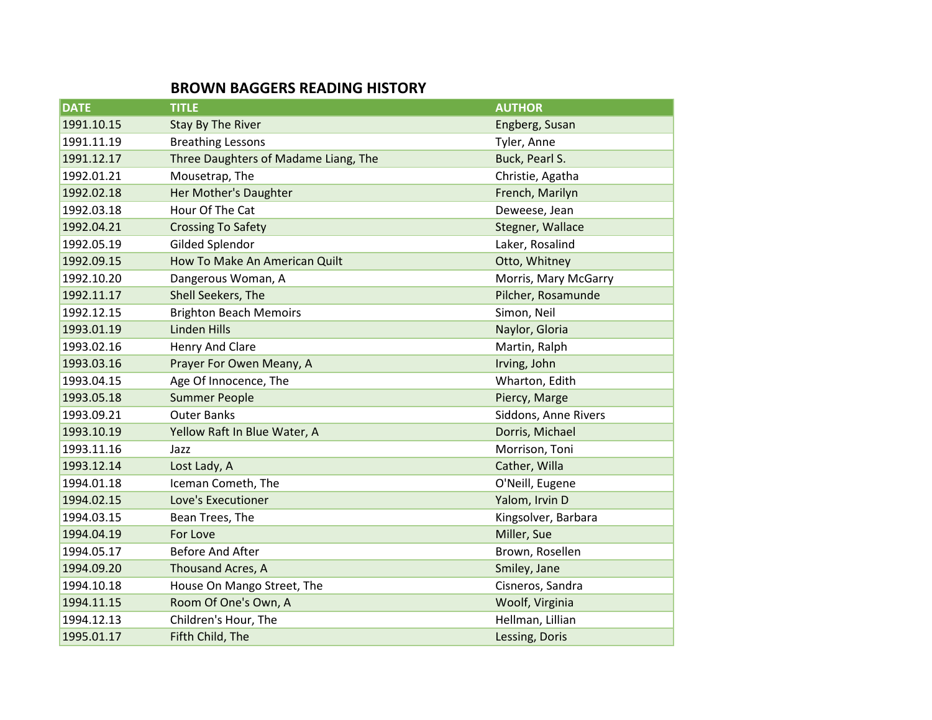## **BROWN BAGGERS READING HISTORY**

| <b>DATE</b> | <b>TITLE</b>                         | <b>AUTHOR</b>        |
|-------------|--------------------------------------|----------------------|
| 1991.10.15  | <b>Stay By The River</b>             | Engberg, Susan       |
| 1991.11.19  | <b>Breathing Lessons</b>             | Tyler, Anne          |
| 1991.12.17  | Three Daughters of Madame Liang, The | Buck, Pearl S.       |
| 1992.01.21  | Mousetrap, The                       | Christie, Agatha     |
| 1992.02.18  | Her Mother's Daughter                | French, Marilyn      |
| 1992.03.18  | Hour Of The Cat                      | Deweese, Jean        |
| 1992.04.21  | <b>Crossing To Safety</b>            | Stegner, Wallace     |
| 1992.05.19  | Gilded Splendor                      | Laker, Rosalind      |
| 1992.09.15  | How To Make An American Quilt        | Otto, Whitney        |
| 1992.10.20  | Dangerous Woman, A                   | Morris, Mary McGarry |
| 1992.11.17  | Shell Seekers, The                   | Pilcher, Rosamunde   |
| 1992.12.15  | <b>Brighton Beach Memoirs</b>        | Simon, Neil          |
| 1993.01.19  | <b>Linden Hills</b>                  | Naylor, Gloria       |
| 1993.02.16  | Henry And Clare                      | Martin, Ralph        |
| 1993.03.16  | Prayer For Owen Meany, A             | Irving, John         |
| 1993.04.15  | Age Of Innocence, The                | Wharton, Edith       |
| 1993.05.18  | <b>Summer People</b>                 | Piercy, Marge        |
| 1993.09.21  | <b>Outer Banks</b>                   | Siddons, Anne Rivers |
| 1993.10.19  | Yellow Raft In Blue Water, A         | Dorris, Michael      |
| 1993.11.16  | Jazz                                 | Morrison, Toni       |
| 1993.12.14  | Lost Lady, A                         | Cather, Willa        |
| 1994.01.18  | Iceman Cometh, The                   | O'Neill, Eugene      |
| 1994.02.15  | Love's Executioner                   | Yalom, Irvin D       |
| 1994.03.15  | Bean Trees, The                      | Kingsolver, Barbara  |
| 1994.04.19  | For Love                             | Miller, Sue          |
| 1994.05.17  | <b>Before And After</b>              | Brown, Rosellen      |
| 1994.09.20  | Thousand Acres, A                    | Smiley, Jane         |
| 1994.10.18  | House On Mango Street, The           | Cisneros, Sandra     |
| 1994.11.15  | Room Of One's Own, A                 | Woolf, Virginia      |
| 1994.12.13  | Children's Hour, The                 | Hellman, Lillian     |
| 1995.01.17  | Fifth Child, The                     | Lessing, Doris       |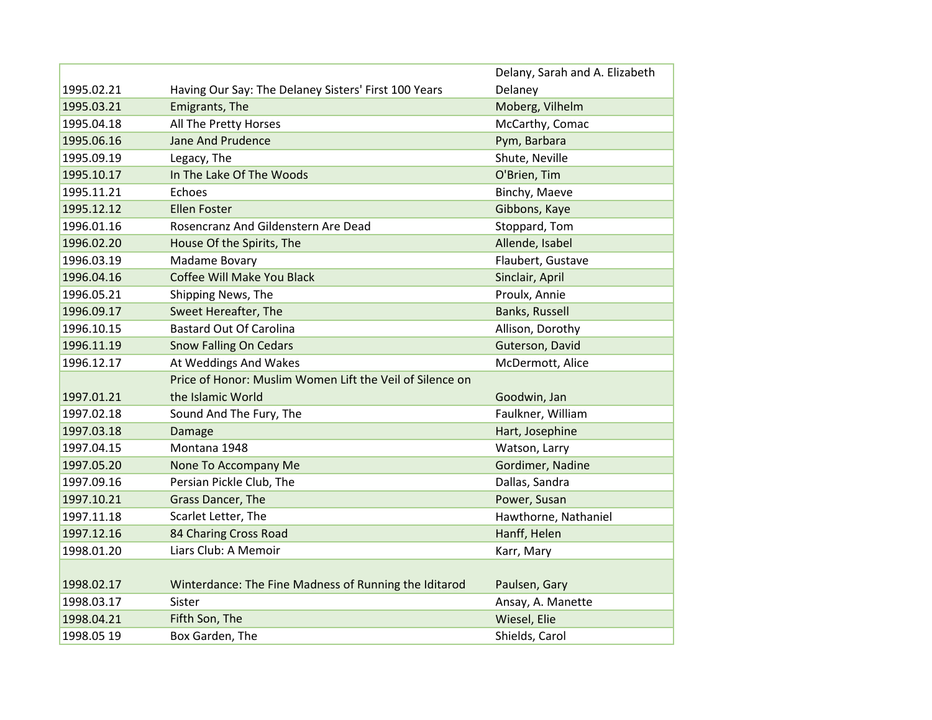|            |                                                          | Delany, Sarah and A. Elizabeth |
|------------|----------------------------------------------------------|--------------------------------|
| 1995.02.21 | Having Our Say: The Delaney Sisters' First 100 Years     | Delaney                        |
| 1995.03.21 | Emigrants, The                                           | Moberg, Vilhelm                |
| 1995.04.18 | All The Pretty Horses                                    | McCarthy, Comac                |
| 1995.06.16 | <b>Jane And Prudence</b>                                 | Pym, Barbara                   |
| 1995.09.19 | Legacy, The                                              | Shute, Neville                 |
| 1995.10.17 | In The Lake Of The Woods                                 | O'Brien, Tim                   |
| 1995.11.21 | Echoes                                                   | Binchy, Maeve                  |
| 1995.12.12 | <b>Ellen Foster</b>                                      | Gibbons, Kaye                  |
| 1996.01.16 | Rosencranz And Gildenstern Are Dead                      | Stoppard, Tom                  |
| 1996.02.20 | House Of the Spirits, The                                | Allende, Isabel                |
| 1996.03.19 | Madame Bovary                                            | Flaubert, Gustave              |
| 1996.04.16 | Coffee Will Make You Black                               | Sinclair, April                |
| 1996.05.21 | Shipping News, The                                       | Proulx, Annie                  |
| 1996.09.17 | Sweet Hereafter, The                                     | Banks, Russell                 |
| 1996.10.15 | <b>Bastard Out Of Carolina</b>                           | Allison, Dorothy               |
| 1996.11.19 | <b>Snow Falling On Cedars</b>                            | Guterson, David                |
| 1996.12.17 | At Weddings And Wakes                                    | McDermott, Alice               |
|            | Price of Honor: Muslim Women Lift the Veil of Silence on |                                |
| 1997.01.21 | the Islamic World                                        | Goodwin, Jan                   |
| 1997.02.18 | Sound And The Fury, The                                  | Faulkner, William              |
| 1997.03.18 | Damage                                                   | Hart, Josephine                |
| 1997.04.15 | Montana 1948                                             | Watson, Larry                  |
| 1997.05.20 | None To Accompany Me                                     | Gordimer, Nadine               |
| 1997.09.16 | Persian Pickle Club, The                                 | Dallas, Sandra                 |
| 1997.10.21 | Grass Dancer, The                                        | Power, Susan                   |
| 1997.11.18 | Scarlet Letter, The                                      | Hawthorne, Nathaniel           |
| 1997.12.16 | 84 Charing Cross Road                                    | Hanff, Helen                   |
| 1998.01.20 | Liars Club: A Memoir                                     | Karr, Mary                     |
|            |                                                          |                                |
| 1998.02.17 | Winterdance: The Fine Madness of Running the Iditarod    | Paulsen, Gary                  |
| 1998.03.17 | Sister                                                   | Ansay, A. Manette              |
| 1998.04.21 | Fifth Son, The                                           | Wiesel, Elie                   |
| 1998.05 19 | Box Garden, The                                          | Shields, Carol                 |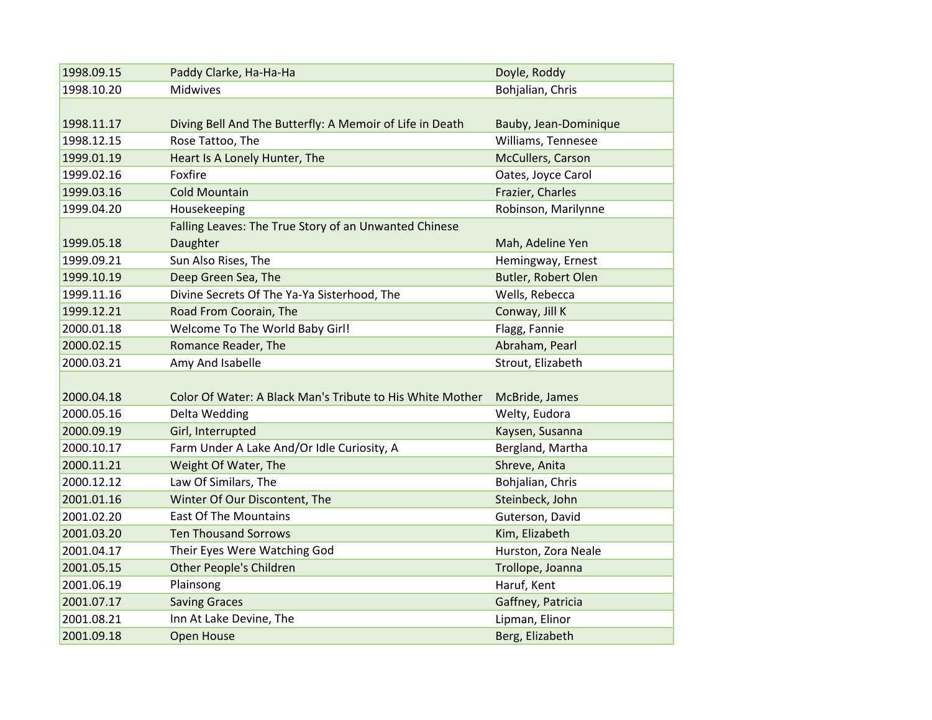| 1998.09.15 | Paddy Clarke, Ha-Ha-Ha                                    | Doyle, Roddy          |
|------------|-----------------------------------------------------------|-----------------------|
| 1998.10.20 | Midwives                                                  | Bohjalian, Chris      |
|            |                                                           |                       |
|            |                                                           |                       |
| 1998.11.17 | Diving Bell And The Butterfly: A Memoir of Life in Death  | Bauby, Jean-Dominique |
| 1998.12.15 | Rose Tattoo, The                                          | Williams, Tennesee    |
| 1999.01.19 | Heart Is A Lonely Hunter, The                             | McCullers, Carson     |
| 1999.02.16 | Foxfire                                                   | Oates, Joyce Carol    |
| 1999.03.16 | <b>Cold Mountain</b>                                      | Frazier, Charles      |
| 1999.04.20 | Housekeeping                                              | Robinson, Marilynne   |
|            | Falling Leaves: The True Story of an Unwanted Chinese     |                       |
| 1999.05.18 | Daughter                                                  | Mah, Adeline Yen      |
| 1999.09.21 | Sun Also Rises, The                                       | Hemingway, Ernest     |
| 1999.10.19 | Deep Green Sea, The                                       | Butler, Robert Olen   |
| 1999.11.16 | Divine Secrets Of The Ya-Ya Sisterhood, The               | Wells, Rebecca        |
| 1999.12.21 | Road From Coorain, The                                    | Conway, Jill K        |
| 2000.01.18 | Welcome To The World Baby Girl!                           | Flagg, Fannie         |
| 2000.02.15 | Romance Reader, The                                       | Abraham, Pearl        |
| 2000.03.21 | Amy And Isabelle                                          | Strout, Elizabeth     |
|            |                                                           |                       |
| 2000.04.18 | Color Of Water: A Black Man's Tribute to His White Mother | McBride, James        |
| 2000.05.16 | Delta Wedding                                             | Welty, Eudora         |
| 2000.09.19 | Girl, Interrupted                                         | Kaysen, Susanna       |
| 2000.10.17 | Farm Under A Lake And/Or Idle Curiosity, A                | Bergland, Martha      |
| 2000.11.21 | Weight Of Water, The                                      | Shreve, Anita         |
| 2000.12.12 | Law Of Similars, The                                      | Bohjalian, Chris      |
| 2001.01.16 | Winter Of Our Discontent, The                             | Steinbeck, John       |
| 2001.02.20 | <b>East Of The Mountains</b>                              | Guterson, David       |
| 2001.03.20 | <b>Ten Thousand Sorrows</b>                               | Kim, Elizabeth        |
| 2001.04.17 | Their Eyes Were Watching God                              | Hurston, Zora Neale   |
| 2001.05.15 | <b>Other People's Children</b>                            | Trollope, Joanna      |
| 2001.06.19 | Plainsong                                                 | Haruf, Kent           |
| 2001.07.17 | <b>Saving Graces</b>                                      | Gaffney, Patricia     |
| 2001.08.21 | Inn At Lake Devine, The                                   | Lipman, Elinor        |
| 2001.09.18 | <b>Open House</b>                                         | Berg, Elizabeth       |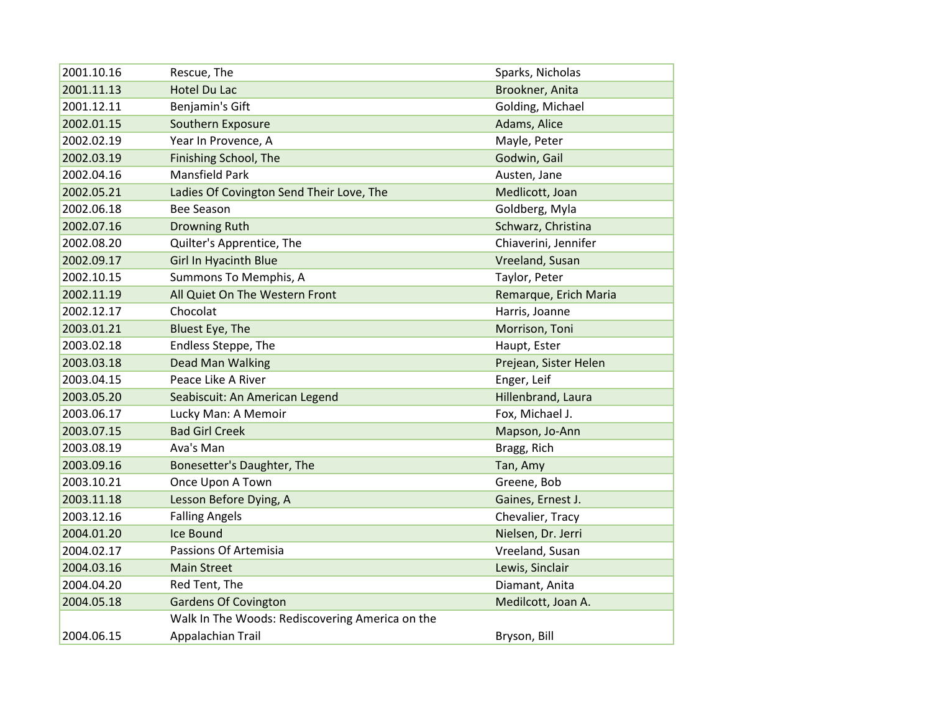| 2001.10.16 | Rescue, The                                     | Sparks, Nicholas      |
|------------|-------------------------------------------------|-----------------------|
| 2001.11.13 | <b>Hotel Du Lac</b>                             | Brookner, Anita       |
| 2001.12.11 | Benjamin's Gift                                 | Golding, Michael      |
| 2002.01.15 | Southern Exposure                               | Adams, Alice          |
| 2002.02.19 | Year In Provence, A                             | Mayle, Peter          |
| 2002.03.19 | Finishing School, The                           | Godwin, Gail          |
| 2002.04.16 | <b>Mansfield Park</b>                           | Austen, Jane          |
| 2002.05.21 | Ladies Of Covington Send Their Love, The        | Medlicott, Joan       |
| 2002.06.18 | <b>Bee Season</b>                               | Goldberg, Myla        |
| 2002.07.16 | <b>Drowning Ruth</b>                            | Schwarz, Christina    |
| 2002.08.20 | Quilter's Apprentice, The                       | Chiaverini, Jennifer  |
| 2002.09.17 | <b>Girl In Hyacinth Blue</b>                    | Vreeland, Susan       |
| 2002.10.15 | Summons To Memphis, A                           | Taylor, Peter         |
| 2002.11.19 | All Quiet On The Western Front                  | Remarque, Erich Maria |
| 2002.12.17 | Chocolat                                        | Harris, Joanne        |
| 2003.01.21 | Bluest Eye, The                                 | Morrison, Toni        |
| 2003.02.18 | Endless Steppe, The                             | Haupt, Ester          |
| 2003.03.18 | Dead Man Walking                                | Prejean, Sister Helen |
| 2003.04.15 | Peace Like A River                              | Enger, Leif           |
| 2003.05.20 | Seabiscuit: An American Legend                  | Hillenbrand, Laura    |
| 2003.06.17 | Lucky Man: A Memoir                             | Fox, Michael J.       |
| 2003.07.15 | <b>Bad Girl Creek</b>                           | Mapson, Jo-Ann        |
| 2003.08.19 | Ava's Man                                       | Bragg, Rich           |
| 2003.09.16 | Bonesetter's Daughter, The                      | Tan, Amy              |
| 2003.10.21 | Once Upon A Town                                | Greene, Bob           |
| 2003.11.18 | Lesson Before Dying, A                          | Gaines, Ernest J.     |
| 2003.12.16 | <b>Falling Angels</b>                           | Chevalier, Tracy      |
| 2004.01.20 | <b>Ice Bound</b>                                | Nielsen, Dr. Jerri    |
| 2004.02.17 | Passions Of Artemisia                           | Vreeland, Susan       |
| 2004.03.16 | <b>Main Street</b>                              | Lewis, Sinclair       |
| 2004.04.20 | Red Tent, The                                   | Diamant, Anita        |
| 2004.05.18 | <b>Gardens Of Covington</b>                     | Medilcott, Joan A.    |
|            | Walk In The Woods: Rediscovering America on the |                       |
| 2004.06.15 | Appalachian Trail                               | Bryson, Bill          |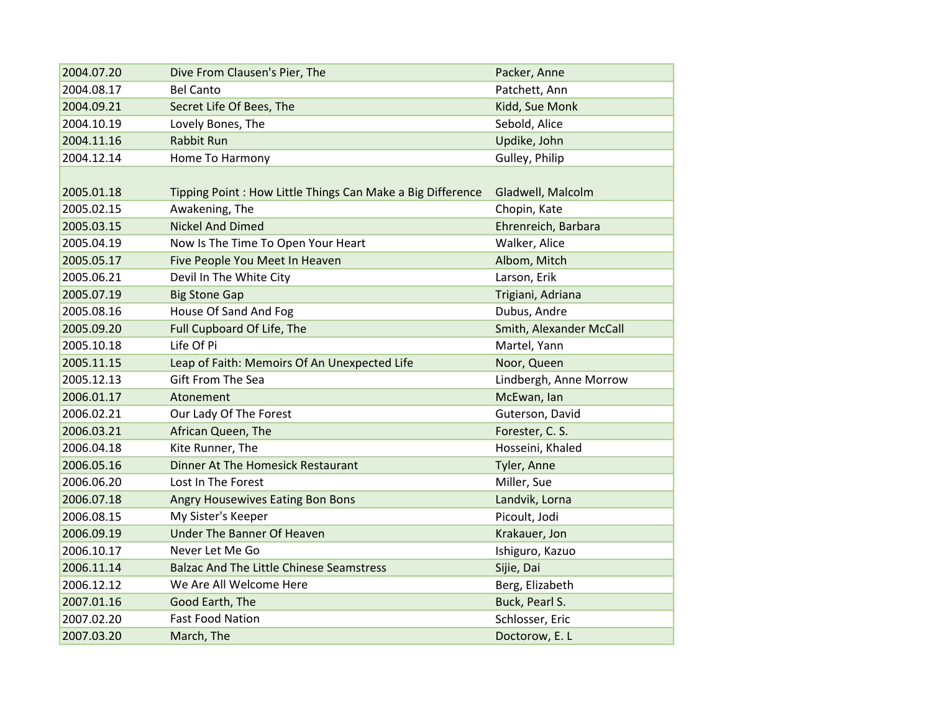| 2004.07.20 | Dive From Clausen's Pier, The                              | Packer, Anne            |
|------------|------------------------------------------------------------|-------------------------|
| 2004.08.17 | <b>Bel Canto</b>                                           | Patchett, Ann           |
| 2004.09.21 | Secret Life Of Bees, The                                   | Kidd, Sue Monk          |
| 2004.10.19 | Lovely Bones, The                                          | Sebold, Alice           |
| 2004.11.16 | <b>Rabbit Run</b>                                          | Updike, John            |
| 2004.12.14 | Home To Harmony                                            | Gulley, Philip          |
|            |                                                            |                         |
| 2005.01.18 | Tipping Point: How Little Things Can Make a Big Difference | Gladwell, Malcolm       |
| 2005.02.15 | Awakening, The                                             | Chopin, Kate            |
| 2005.03.15 | <b>Nickel And Dimed</b>                                    | Ehrenreich, Barbara     |
| 2005.04.19 | Now Is The Time To Open Your Heart                         | Walker, Alice           |
| 2005.05.17 | Five People You Meet In Heaven                             | Albom, Mitch            |
| 2005.06.21 | Devil In The White City                                    | Larson, Erik            |
| 2005.07.19 | <b>Big Stone Gap</b>                                       | Trigiani, Adriana       |
| 2005.08.16 | House Of Sand And Fog                                      | Dubus, Andre            |
| 2005.09.20 | Full Cupboard Of Life, The                                 | Smith, Alexander McCall |
| 2005.10.18 | Life Of Pi                                                 | Martel, Yann            |
| 2005.11.15 | Leap of Faith: Memoirs Of An Unexpected Life               | Noor, Queen             |
| 2005.12.13 | Gift From The Sea                                          | Lindbergh, Anne Morrow  |
| 2006.01.17 | Atonement                                                  | McEwan, lan             |
| 2006.02.21 | Our Lady Of The Forest                                     | Guterson, David         |
| 2006.03.21 | African Queen, The                                         | Forester, C. S.         |
| 2006.04.18 | Kite Runner, The                                           | Hosseini, Khaled        |
| 2006.05.16 | Dinner At The Homesick Restaurant                          | Tyler, Anne             |
| 2006.06.20 | Lost In The Forest                                         | Miller, Sue             |
| 2006.07.18 | Angry Housewives Eating Bon Bons                           | Landvik, Lorna          |
| 2006.08.15 | My Sister's Keeper                                         | Picoult, Jodi           |
| 2006.09.19 | <b>Under The Banner Of Heaven</b>                          | Krakauer, Jon           |
| 2006.10.17 | Never Let Me Go                                            | Ishiguro, Kazuo         |
| 2006.11.14 | <b>Balzac And The Little Chinese Seamstress</b>            | Sijie, Dai              |
| 2006.12.12 | We Are All Welcome Here                                    | Berg, Elizabeth         |
| 2007.01.16 | Good Earth, The                                            | Buck, Pearl S.          |
| 2007.02.20 | <b>Fast Food Nation</b>                                    | Schlosser, Eric         |
| 2007.03.20 | March, The                                                 | Doctorow, E. L          |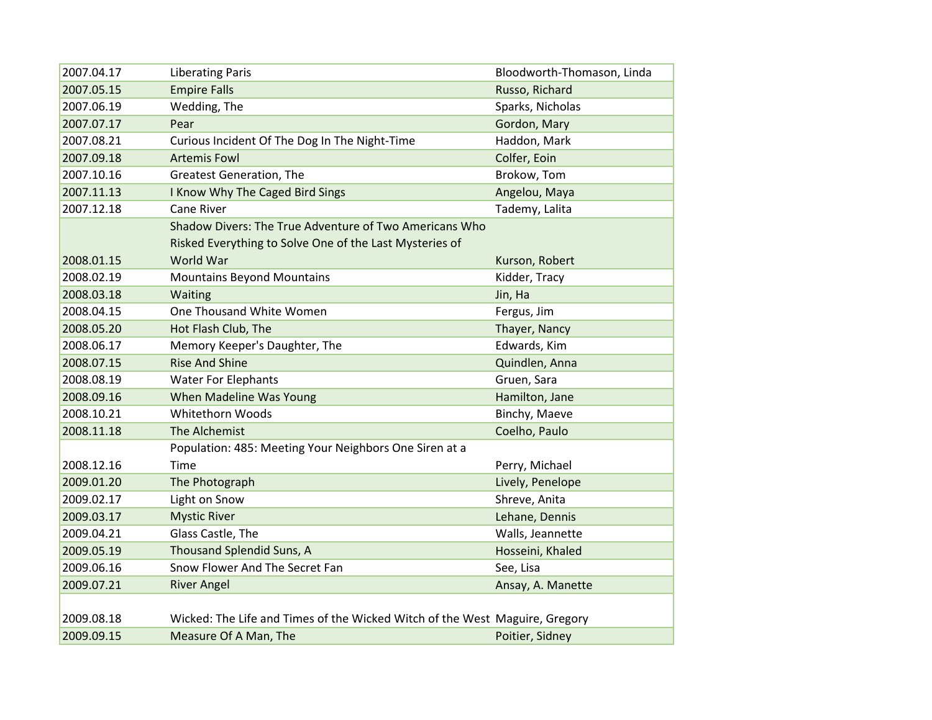| 2007.04.17 | <b>Liberating Paris</b>                                                     | Bloodworth-Thomason, Linda |
|------------|-----------------------------------------------------------------------------|----------------------------|
| 2007.05.15 | <b>Empire Falls</b>                                                         | Russo, Richard             |
| 2007.06.19 | Wedding, The                                                                | Sparks, Nicholas           |
| 2007.07.17 | Pear                                                                        | Gordon, Mary               |
| 2007.08.21 | Curious Incident Of The Dog In The Night-Time                               | Haddon, Mark               |
| 2007.09.18 | <b>Artemis Fowl</b>                                                         | Colfer, Eoin               |
| 2007.10.16 | <b>Greatest Generation, The</b>                                             | Brokow, Tom                |
| 2007.11.13 | I Know Why The Caged Bird Sings                                             | Angelou, Maya              |
| 2007.12.18 | <b>Cane River</b>                                                           | Tademy, Lalita             |
|            | Shadow Divers: The True Adventure of Two Americans Who                      |                            |
|            | Risked Everything to Solve One of the Last Mysteries of                     |                            |
| 2008.01.15 | World War                                                                   | Kurson, Robert             |
| 2008.02.19 | <b>Mountains Beyond Mountains</b>                                           | Kidder, Tracy              |
| 2008.03.18 | Waiting                                                                     | Jin, Ha                    |
| 2008.04.15 | One Thousand White Women                                                    | Fergus, Jim                |
| 2008.05.20 | Hot Flash Club, The                                                         | Thayer, Nancy              |
| 2008.06.17 | Memory Keeper's Daughter, The                                               | Edwards, Kim               |
| 2008.07.15 | <b>Rise And Shine</b>                                                       | Quindlen, Anna             |
| 2008.08.19 | <b>Water For Elephants</b>                                                  | Gruen, Sara                |
| 2008.09.16 | When Madeline Was Young                                                     | Hamilton, Jane             |
| 2008.10.21 | Whitethorn Woods                                                            | Binchy, Maeve              |
| 2008.11.18 | The Alchemist                                                               | Coelho, Paulo              |
|            | Population: 485: Meeting Your Neighbors One Siren at a                      |                            |
| 2008.12.16 | Time                                                                        | Perry, Michael             |
| 2009.01.20 | The Photograph                                                              | Lively, Penelope           |
| 2009.02.17 | Light on Snow                                                               | Shreve, Anita              |
| 2009.03.17 | <b>Mystic River</b>                                                         | Lehane, Dennis             |
| 2009.04.21 | Glass Castle, The                                                           | Walls, Jeannette           |
| 2009.05.19 | <b>Thousand Splendid Suns, A</b>                                            | Hosseini, Khaled           |
| 2009.06.16 | Snow Flower And The Secret Fan                                              | See, Lisa                  |
| 2009.07.21 | <b>River Angel</b>                                                          | Ansay, A. Manette          |
|            |                                                                             |                            |
| 2009.08.18 | Wicked: The Life and Times of the Wicked Witch of the West Maguire, Gregory |                            |
| 2009.09.15 | Measure Of A Man, The                                                       | Poitier, Sidney            |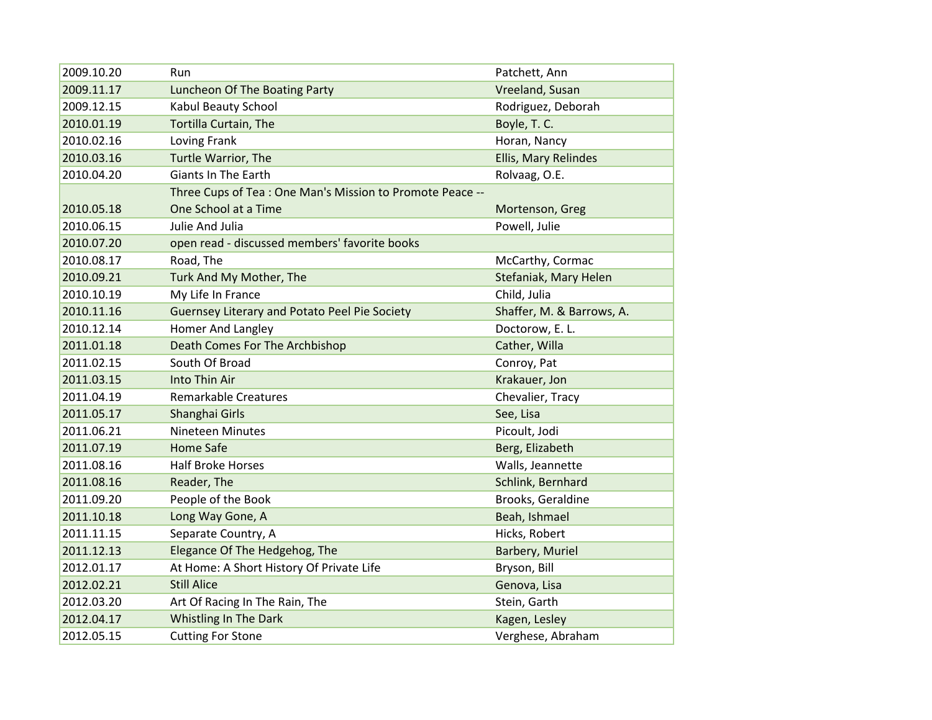| 2009.10.20 | Run                                                      | Patchett, Ann             |
|------------|----------------------------------------------------------|---------------------------|
| 2009.11.17 | Luncheon Of The Boating Party                            | Vreeland, Susan           |
| 2009.12.15 | Kabul Beauty School                                      | Rodriguez, Deborah        |
| 2010.01.19 | Tortilla Curtain, The                                    | Boyle, T. C.              |
| 2010.02.16 | Loving Frank                                             | Horan, Nancy              |
| 2010.03.16 | Turtle Warrior, The                                      | Ellis, Mary Relindes      |
| 2010.04.20 | Giants In The Earth                                      | Rolvaag, O.E.             |
|            | Three Cups of Tea: One Man's Mission to Promote Peace -- |                           |
| 2010.05.18 | One School at a Time                                     | Mortenson, Greg           |
| 2010.06.15 | Julie And Julia                                          | Powell, Julie             |
| 2010.07.20 | open read - discussed members' favorite books            |                           |
| 2010.08.17 | Road, The                                                | McCarthy, Cormac          |
| 2010.09.21 | Turk And My Mother, The                                  | Stefaniak, Mary Helen     |
| 2010.10.19 | My Life In France                                        | Child, Julia              |
| 2010.11.16 | <b>Guernsey Literary and Potato Peel Pie Society</b>     | Shaffer, M. & Barrows, A. |
| 2010.12.14 | Homer And Langley                                        | Doctorow, E. L.           |
| 2011.01.18 | Death Comes For The Archbishop                           | Cather, Willa             |
| 2011.02.15 | South Of Broad                                           | Conroy, Pat               |
| 2011.03.15 | Into Thin Air                                            | Krakauer, Jon             |
| 2011.04.19 | <b>Remarkable Creatures</b>                              | Chevalier, Tracy          |
| 2011.05.17 | Shanghai Girls                                           | See, Lisa                 |
| 2011.06.21 | <b>Nineteen Minutes</b>                                  | Picoult, Jodi             |
| 2011.07.19 | <b>Home Safe</b>                                         | Berg, Elizabeth           |
| 2011.08.16 | <b>Half Broke Horses</b>                                 | Walls, Jeannette          |
| 2011.08.16 | Reader, The                                              | Schlink, Bernhard         |
| 2011.09.20 | People of the Book                                       | Brooks, Geraldine         |
| 2011.10.18 | Long Way Gone, A                                         | Beah, Ishmael             |
| 2011.11.15 | Separate Country, A                                      | Hicks, Robert             |
| 2011.12.13 | Elegance Of The Hedgehog, The                            | Barbery, Muriel           |
| 2012.01.17 | At Home: A Short History Of Private Life                 | Bryson, Bill              |
| 2012.02.21 | <b>Still Alice</b>                                       | Genova, Lisa              |
| 2012.03.20 | Art Of Racing In The Rain, The                           | Stein, Garth              |
| 2012.04.17 | Whistling In The Dark                                    | Kagen, Lesley             |
| 2012.05.15 | <b>Cutting For Stone</b>                                 | Verghese, Abraham         |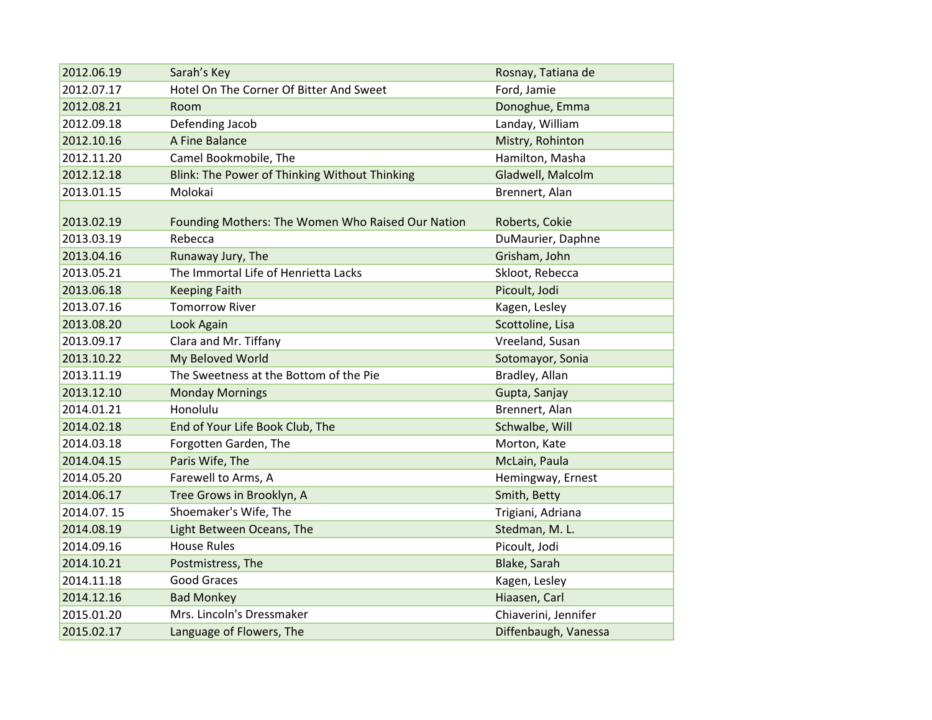| 2012.06.19 | Sarah's Key                                       | Rosnay, Tatiana de   |
|------------|---------------------------------------------------|----------------------|
| 2012.07.17 | Hotel On The Corner Of Bitter And Sweet           | Ford, Jamie          |
| 2012.08.21 | Room                                              | Donoghue, Emma       |
| 2012.09.18 | Defending Jacob                                   | Landay, William      |
| 2012.10.16 | A Fine Balance                                    | Mistry, Rohinton     |
| 2012.11.20 | Camel Bookmobile, The                             | Hamilton, Masha      |
| 2012.12.18 | Blink: The Power of Thinking Without Thinking     | Gladwell, Malcolm    |
| 2013.01.15 | Molokai                                           | Brennert, Alan       |
|            |                                                   |                      |
| 2013.02.19 | Founding Mothers: The Women Who Raised Our Nation | Roberts, Cokie       |
| 2013.03.19 | Rebecca                                           | DuMaurier, Daphne    |
| 2013.04.16 | Runaway Jury, The                                 | Grisham, John        |
| 2013.05.21 | The Immortal Life of Henrietta Lacks              | Skloot, Rebecca      |
| 2013.06.18 | <b>Keeping Faith</b>                              | Picoult, Jodi        |
| 2013.07.16 | <b>Tomorrow River</b>                             | Kagen, Lesley        |
| 2013.08.20 | Look Again                                        | Scottoline, Lisa     |
| 2013.09.17 | Clara and Mr. Tiffany                             | Vreeland, Susan      |
| 2013.10.22 | My Beloved World                                  | Sotomayor, Sonia     |
| 2013.11.19 | The Sweetness at the Bottom of the Pie            | Bradley, Allan       |
| 2013.12.10 | <b>Monday Mornings</b>                            | Gupta, Sanjay        |
| 2014.01.21 | Honolulu                                          | Brennert, Alan       |
| 2014.02.18 | End of Your Life Book Club, The                   | Schwalbe, Will       |
| 2014.03.18 | Forgotten Garden, The                             | Morton, Kate         |
| 2014.04.15 | Paris Wife, The                                   | McLain, Paula        |
| 2014.05.20 | Farewell to Arms, A                               | Hemingway, Ernest    |
| 2014.06.17 | Tree Grows in Brooklyn, A                         | Smith, Betty         |
| 2014.07.15 | Shoemaker's Wife, The                             | Trigiani, Adriana    |
| 2014.08.19 | Light Between Oceans, The                         | Stedman, M. L.       |
| 2014.09.16 | <b>House Rules</b>                                | Picoult, Jodi        |
| 2014.10.21 | Postmistress, The                                 | Blake, Sarah         |
| 2014.11.18 | Good Graces                                       | Kagen, Lesley        |
| 2014.12.16 | <b>Bad Monkey</b>                                 | Hiaasen, Carl        |
| 2015.01.20 | Mrs. Lincoln's Dressmaker                         | Chiaverini, Jennifer |
| 2015.02.17 | Language of Flowers, The                          | Diffenbaugh, Vanessa |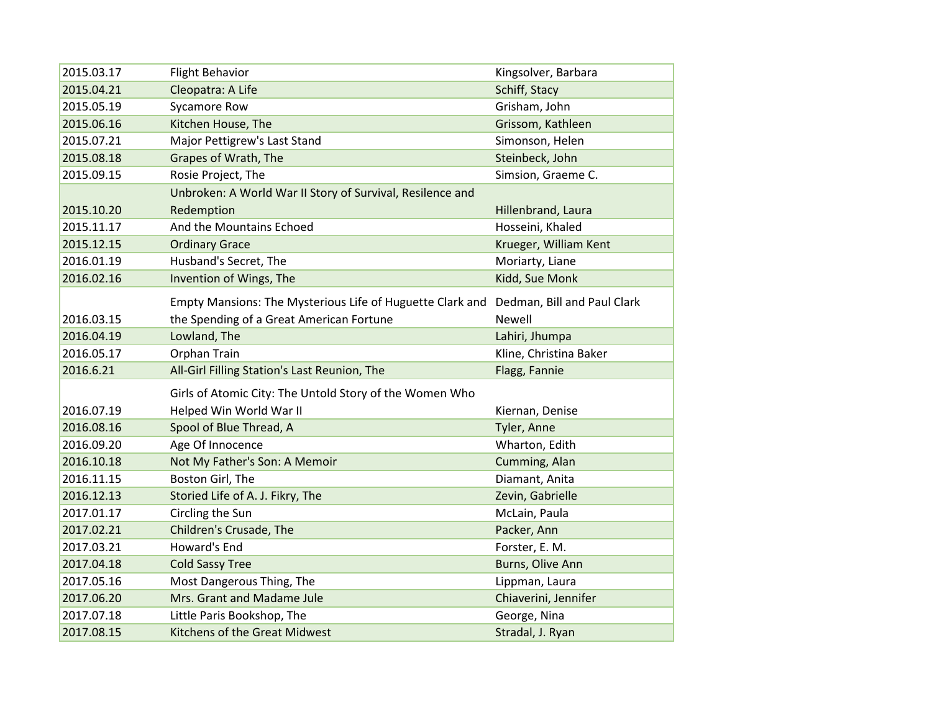| 2015.03.17               | <b>Flight Behavior</b>                                    | Kingsolver, Barbara           |
|--------------------------|-----------------------------------------------------------|-------------------------------|
| 2015.04.21               | Cleopatra: A Life                                         | Schiff, Stacy                 |
| 2015.05.19               | <b>Sycamore Row</b>                                       | Grisham, John                 |
| 2015.06.16               | Kitchen House, The                                        | Grissom, Kathleen             |
| 2015.07.21               | Major Pettigrew's Last Stand                              | Simonson, Helen               |
| 2015.08.18               | Grapes of Wrath, The                                      | Steinbeck, John               |
| 2015.09.15               | Rosie Project, The                                        | Simsion, Graeme C.            |
|                          | Unbroken: A World War II Story of Survival, Resilence and |                               |
| 2015.10.20               | Redemption                                                | Hillenbrand, Laura            |
| 2015.11.17               | And the Mountains Echoed                                  | Hosseini, Khaled              |
| 2015.12.15               | <b>Ordinary Grace</b>                                     | Krueger, William Kent         |
| 2016.01.19               | Husband's Secret, The                                     | Moriarty, Liane               |
| 2016.02.16               | Invention of Wings, The                                   | Kidd, Sue Monk                |
|                          | Empty Mansions: The Mysterious Life of Huguette Clark and | Dedman, Bill and Paul Clark   |
| 2016.03.15               | the Spending of a Great American Fortune                  | <b>Newell</b>                 |
| 2016.04.19               | Lowland, The                                              | Lahiri, Jhumpa                |
| 2016.05.17               | Orphan Train                                              | Kline, Christina Baker        |
| 2016.6.21                | All-Girl Filling Station's Last Reunion, The              | Flagg, Fannie                 |
|                          | Girls of Atomic City: The Untold Story of the Women Who   |                               |
| 2016.07.19               | Helped Win World War II                                   |                               |
| 2016.08.16               | Spool of Blue Thread, A                                   | Kiernan, Denise               |
| 2016.09.20               | Age Of Innocence                                          | Tyler, Anne<br>Wharton, Edith |
| 2016.10.18               | Not My Father's Son: A Memoir                             |                               |
|                          |                                                           | Cumming, Alan                 |
| 2016.11.15               | Boston Girl, The                                          | Diamant, Anita                |
| 2016.12.13<br>2017.01.17 | Storied Life of A. J. Fikry, The                          | Zevin, Gabrielle              |
|                          | Circling the Sun                                          | McLain, Paula                 |
| 2017.02.21               | Children's Crusade, The                                   | Packer, Ann                   |
| 2017.03.21               | Howard's End                                              | Forster, E. M.                |
| 2017.04.18               | <b>Cold Sassy Tree</b>                                    | Burns, Olive Ann              |
| 2017.05.16               | Most Dangerous Thing, The                                 | Lippman, Laura                |
| 2017.06.20               | Mrs. Grant and Madame Jule                                | Chiaverini, Jennifer          |
| 2017.07.18               | Little Paris Bookshop, The                                | George, Nina                  |
| 2017.08.15               | Kitchens of the Great Midwest                             | Stradal, J. Ryan              |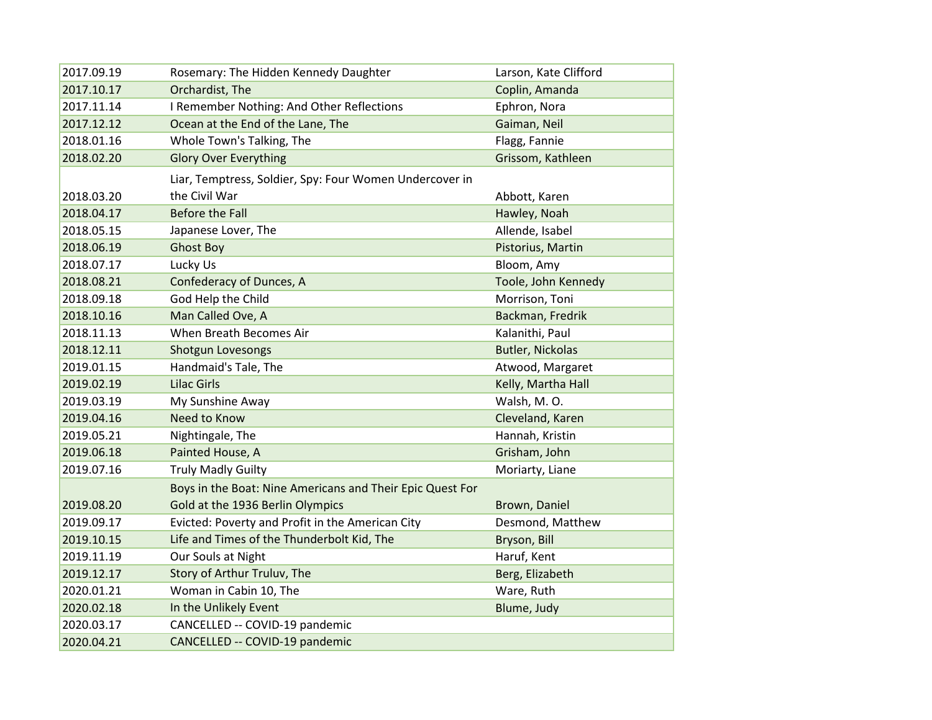| 2017.09.19 | Rosemary: The Hidden Kennedy Daughter                     | Larson, Kate Clifford   |
|------------|-----------------------------------------------------------|-------------------------|
| 2017.10.17 | Orchardist, The                                           | Coplin, Amanda          |
| 2017.11.14 | I Remember Nothing: And Other Reflections                 | Ephron, Nora            |
| 2017.12.12 | Ocean at the End of the Lane, The                         | Gaiman, Neil            |
| 2018.01.16 | Whole Town's Talking, The                                 | Flagg, Fannie           |
| 2018.02.20 | <b>Glory Over Everything</b>                              | Grissom, Kathleen       |
|            | Liar, Temptress, Soldier, Spy: Four Women Undercover in   |                         |
| 2018.03.20 | the Civil War                                             | Abbott, Karen           |
| 2018.04.17 | <b>Before the Fall</b>                                    | Hawley, Noah            |
| 2018.05.15 | Japanese Lover, The                                       | Allende, Isabel         |
| 2018.06.19 | <b>Ghost Boy</b>                                          | Pistorius, Martin       |
| 2018.07.17 | Lucky Us                                                  | Bloom, Amy              |
| 2018.08.21 | Confederacy of Dunces, A                                  | Toole, John Kennedy     |
| 2018.09.18 | God Help the Child                                        | Morrison, Toni          |
| 2018.10.16 | Man Called Ove, A                                         | Backman, Fredrik        |
| 2018.11.13 | When Breath Becomes Air                                   | Kalanithi, Paul         |
| 2018.12.11 | Shotgun Lovesongs                                         | <b>Butler, Nickolas</b> |
| 2019.01.15 | Handmaid's Tale, The                                      | Atwood, Margaret        |
| 2019.02.19 | <b>Lilac Girls</b>                                        | Kelly, Martha Hall      |
| 2019.03.19 | My Sunshine Away                                          | Walsh, M.O.             |
| 2019.04.16 | Need to Know                                              | Cleveland, Karen        |
| 2019.05.21 | Nightingale, The                                          | Hannah, Kristin         |
| 2019.06.18 | Painted House, A                                          | Grisham, John           |
| 2019.07.16 | <b>Truly Madly Guilty</b>                                 | Moriarty, Liane         |
|            | Boys in the Boat: Nine Americans and Their Epic Quest For |                         |
| 2019.08.20 | Gold at the 1936 Berlin Olympics                          | Brown, Daniel           |
| 2019.09.17 | Evicted: Poverty and Profit in the American City          | Desmond, Matthew        |
| 2019.10.15 | Life and Times of the Thunderbolt Kid, The                | Bryson, Bill            |
| 2019.11.19 | Our Souls at Night                                        | Haruf, Kent             |
| 2019.12.17 | Story of Arthur Truluv, The                               | Berg, Elizabeth         |
| 2020.01.21 | Woman in Cabin 10, The                                    | Ware, Ruth              |
| 2020.02.18 | In the Unlikely Event                                     | Blume, Judy             |
| 2020.03.17 | CANCELLED -- COVID-19 pandemic                            |                         |
| 2020.04.21 | CANCELLED -- COVID-19 pandemic                            |                         |